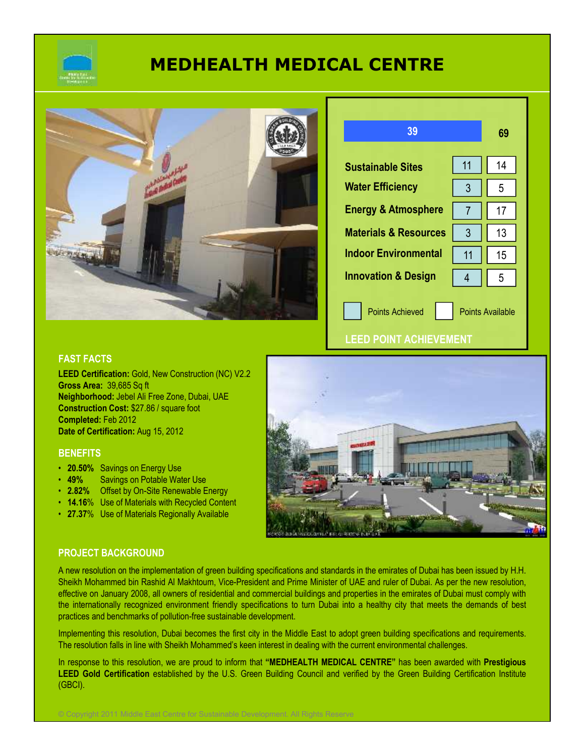

# **MEDHEALTH MEDICAL CENTRE**



| 39                                                |    | 69 |
|---------------------------------------------------|----|----|
| <b>Sustainable Sites</b>                          | 11 | 14 |
| <b>Water Efficiency</b>                           | 3  | 5  |
| <b>Energy &amp; Atmosphere</b>                    |    | 17 |
| <b>Materials &amp; Resources</b>                  | 3  | 13 |
| <b>Indoor Environmental</b>                       | 11 | 15 |
| <b>Innovation &amp; Design</b>                    | 4  | 5  |
| <b>Points Achieved</b><br><b>Points Available</b> |    |    |

**LEED POINT ACHIEVEMENT**

# **FAST FACTS**

**LEED Certification:** Gold, New Construction (NC) V2.2 **Gross Area:** 39,685 Sq ft **Neighborhood:** Jebel Ali Free Zone, Dubai, UAE **Construction Cost:** \$27.86 / square foot **Completed:** Feb 2012 **Date of Certification:** Aug 15, 2012

#### **BENEFITS**

- **20.50%** Savings on Energy Use
- **49%** Savings on Potable Water Use
- **2.82%** Offset by On-Site Renewable Energy
- **14.16**% Use of Materials with Recycled Content
- **27.37**% Use of Materials Regionally Available



## **PROJECT BACKGROUND**

A new resolution on the implementation of green building specifications and standards in the emirates of Dubai has been issued by H.H. Sheikh Mohammed bin Rashid Al Makhtoum, Vice-President and Prime Minister of UAE and ruler of Dubai. As per the new resolution, effective on January 2008, all owners of residential and commercial buildings and properties in the emirates of Dubai must comply with the internationally recognized environment friendly specifications to turn Dubai into a healthy city that meets the demands of best practices and benchmarks of pollution-free sustainable development.

Implementing this resolution, Dubai becomes the first city in the Middle East to adopt green building specifications and requirements. The resolution falls in line with Sheikh Mohammed's keen interest in dealing with the current environmental challenges.

In response to this resolution, we are proud to inform that **"MEDHEALTH MEDICAL CENTRE"** has been awarded with **Prestigious LEED Gold Certification** established by the U.S. Green Building Council and verified by the Green Building Certification Institute (GBCI).

© Copyright 2011 Middle East Centre for Sustainable Development. All Rights Reserve